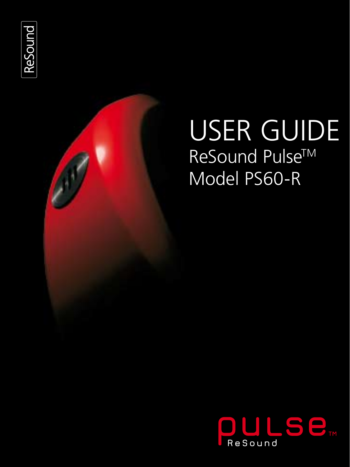# USER GUIDE **ReSound Pulse<sup>™</sup>** Model PS60-R

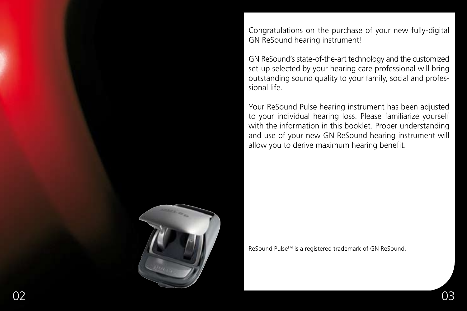Congratulations on the purchase of your new fully-digital GN ReSound hearing instrument!

GN ReSound's state-of-the-art technology and the customized set-up selected by your hearing care professional will bring outstanding sound quality to your family, social and professional life.

Your ReSound Pulse hearing instrument has been adjusted to your individual hearing loss. Please familiarize yourself with the information in this booklet. Proper understanding and use of your new GN ReSound hearing instrument will allow you to derive maximum hearing benefit.



ReSound Pulse™ is a registered trademark of GN ReSound.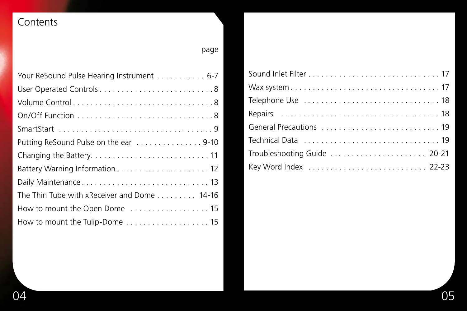# Contents

| page                                                                  |
|-----------------------------------------------------------------------|
|                                                                       |
| Your ReSound Pulse Hearing Instrument 6-7                             |
|                                                                       |
|                                                                       |
|                                                                       |
|                                                                       |
| Putting ReSound Pulse on the ear $\ldots \ldots \ldots \ldots$ . 9-10 |
|                                                                       |
|                                                                       |
|                                                                       |
| The Thin Tube with xReceiver and Dome 14-16                           |
|                                                                       |
| How to mount the Tulip-Dome 15                                        |

| Troubleshooting Guide  20-21 |
|------------------------------|
|                              |
|                              |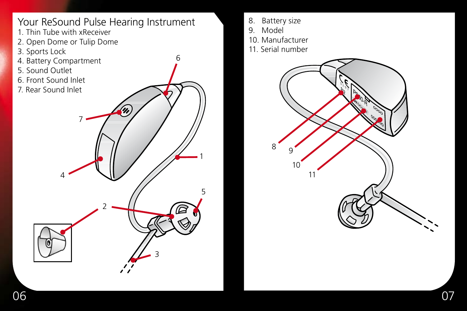

- 8. Battery size
- 9. Model
- 10. Manufacturer
- 11. Serial number



07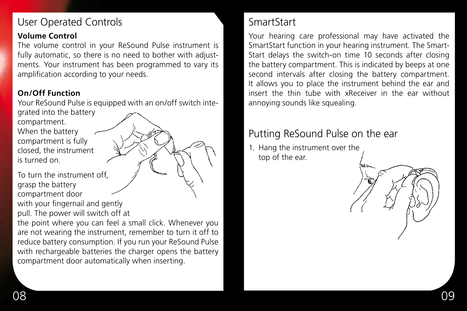# User Operated Controls

#### **Volume Control**

The volume control in your ReSound Pulse instrument is fully automatic, so there is no need to bother with adjustments. Your instrument has been programmed to vary its amplification according to your needs.

#### **On/Off Function**

Your ReSound Pulse is equipped with an on/off switch inte-

grated into the battery compartment. When the battery compartment is fully closed, the instrument is turned on.

To turn the instrument off, grasp the battery compartment door with your fingernail and gently pull. The power will switch off at

the point where you can feel a small click. Whenever you are not wearing the instrument, remember to turn it off to reduce battery consumption. If you run your ReSound Pulse with rechargeable batteries the charger opens the battery compartment door automatically when inserting.

#### SmartStart

Your hearing care professional may have activated the SmartStart function in your hearing instrument. The Smart-Start delays the switch-on time 10 seconds after closing the battery compartment. This is indicated by beeps at one second intervals after closing the battery compartment. It allows you to place the instrument behind the ear and insert the thin tube with xReceiver in the ear without annoying sounds like squealing.

### Putting ReSound Pulse on the ear

1. Hang the instrument over the top of the ear.

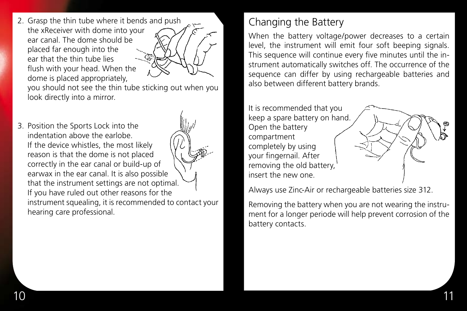2. Grasp the thin tube where it bends and push the xReceiver with dome into your ear canal. The dome should be placed far enough into the ear that the thin tube lies flush with your head. When the dome is placed appropriately,

you should not see the thin tube sticking out when you look directly into a mirror.

3. Position the Sports Lock into the indentation above the earlobe. If the device whistles, the most likely reason is that the dome is not placed correctly in the ear canal or build-up of earwax in the ear canal. It is also possible that the instrument settings are not optimal. If you have ruled out other reasons for the instrument squealing, it is recommended to contact your hearing care professional.

# Changing the Battery

When the battery voltage/power decreases to a certain level, the instrument will emit four soft beeping signals. This sequence will continue every five minutes until the instrument automatically switches off. The occurrence of the sequence can differ by using rechargeable batteries and also between different battery brands.

It is recommended that you keep a spare battery on hand. Open the battery compartment completely by using your fingernail. After removing the old battery, insert the new one.

Always use Zinc-Air or rechargeable batteries size 312.

Removing the battery when you are not wearing the instrument for a longer periode will help prevent corrosion of the battery contacts.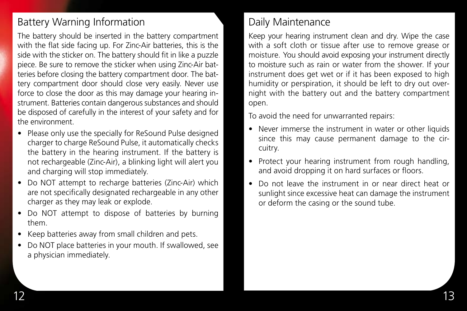#### Battery Warning Information

The battery should be inserted in the battery compartment with the flat side facing up. For Zinc-Air batteries, this is the side with the sticker on. The battery should fit in like a puzzle piece. Be sure to remove the sticker when using Zinc-Air batteries before closing the battery compartment door. The battery compartment door should close very easily. Never use force to close the door as this may damage your hearing instrument. Batteries contain dangerous substances and should be disposed of carefully in the interest of your safety and for the environment.

- Please only use the specially for ReSound Pulse designed charger to charge ReSound Pulse, it automatically checks the battery in the hearing instrument. If the battery is not rechargeable (Zinc-Air), a blinking light will alert you and charging will stop immediately.
- Do NOT attempt to recharge batteries (Zinc-Air) which are not specifically designated rechargeable in any other charger as they may leak or explode.
- Do NOT attempt to dispose of batteries by burning them.
- Keep batteries away from small children and pets.
- Do NOT place batteries in your mouth. If swallowed, see a physician immediately.

### Daily Maintenance

Keep your hearing instrument clean and dry. Wipe the case with a soft cloth or tissue after use to remove grease or moisture. You should avoid exposing your instrument directly to moisture such as rain or water from the shower. If your instrument does get wet or if it has been exposed to high humidity or perspiration, it should be left to dry out overnight with the battery out and the battery compartment open.

To avoid the need for unwarranted repairs:

- Never immerse the instrument in water or other liquids since this may cause permanent damage to the circuitry.
- Protect your hearing instrument from rough handling, and avoid dropping it on hard surfaces or floors.
- Do not leave the instrument in or near direct heat or sunlight since excessive heat can damage the instrument or deform the casing or the sound tube.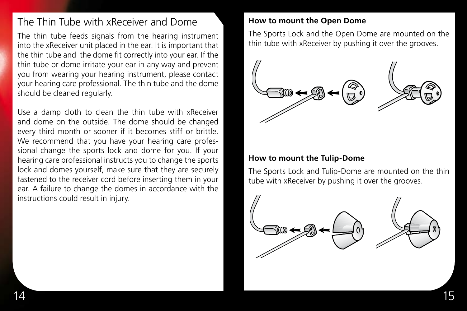#### The Thin Tube with xReceiver and Dome

The thin tube feeds signals from the hearing instrument into the xReceiver unit placed in the ear. It is important that the thin tube and the dome fit correctly into your ear. If the thin tube or dome irritate your ear in any way and prevent you from wearing your hearing instrument, please contact your hearing care professional. The thin tube and the dome should be cleaned regularly.

Use a damp cloth to clean the thin tube with xReceiver and dome on the outside. The dome should be changed every third month or sooner if it becomes stiff or brittle. We recommend that you have your hearing care professional change the sports lock and dome for you. If your hearing care professional instructs you to change the sports lock and domes yourself, make sure that they are securely fastened to the receiver cord before inserting them in your ear. A failure to change the domes in accordance with the instructions could result in injury.

#### **How to mount the Open Dome**

The Sports Lock and the Open Dome are mounted on the thin tube with xReceiver by pushing it over the grooves.



#### **How to mount the Tulip-Dome**

The Sports Lock and Tulip-Dome are mounted on the thin tube with xReceiver by pushing it over the grooves.

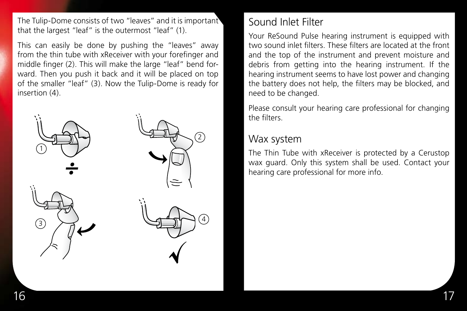The Tulip-Dome consists of two "leaves" and it is important that the largest "leaf" is the outermost "leaf" (1).

This can easily be done by pushing the "leaves" away from the thin tube with xReceiver with your forefinger and middle finger (2). This will make the large "leaf" bend forward. Then you push it back and it will be placed on top of the smaller "leaf" (3). Now the Tulip-Dome is ready for insertion (4).



### Sound Inlet Filter

Your ReSound Pulse hearing instrument is equipped with two sound inlet filters. These filters are located at the front and the top of the instrument and prevent moisture and debris from getting into the hearing instrument. If the hearing instrument seems to have lost power and changing the battery does not help, the filters may be blocked, and need to be changed.

Please consult your hearing care professional for changing the filters.

#### Wax system

The Thin Tube with xReceiver is protected by a Cerustop wax guard. Only this system shall be used. Contact your hearing care professional for more info.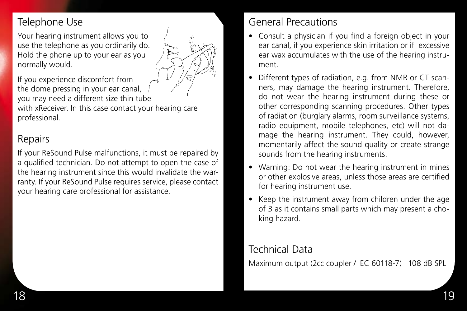### Telephone Use

Your hearing instrument allows you to use the telephone as you ordinarily do. Hold the phone up to your ear as you normally would.



If you experience discomfort from the dome pressing in your ear canal, you may need a different size thin tube with xReceiver. In this case contact your hearing care professional.

#### Repairs

If your ReSound Pulse malfunctions, it must be repaired by a qualified technician. Do not attempt to open the case of the hearing instrument since this would invalidate the warranty. If your ReSound Pulse requires service, please contact your hearing care professional for assistance.

### General Precautions

- Consult a physician if you find a foreign object in your ear canal, if you experience skin irritation or if excessive ear wax accumulates with the use of the hearing instrument.
- Different types of radiation, e.g. from NMR or CT scanners, may damage the hearing instrument. Therefore, do not wear the hearing instrument during these or other corresponding scanning procedures. Other types of radiation (burglary alarms, room surveillance systems, radio equipment, mobile telephones, etc) will not damage the hearing instrument. They could, however, momentarily affect the sound quality or create strange sounds from the hearing instruments.
- Warning: Do not wear the hearing instrument in mines or other explosive areas, unless those areas are certified for hearing instrument use.
- Keep the instrument away from children under the age of 3 as it contains small parts which may present a choking hazard.

#### Technical Data

Maximum output (2cc coupler / IEC 60118-7) 108 dB SPL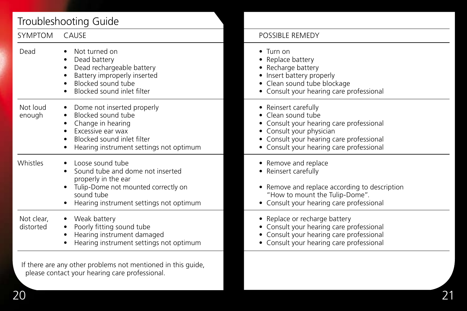# Troubleshooting Guide

| <b>SYMPTOM</b>          | CAUSE                                                                                                                                                                                    | <b>POSSIBLE REMEDY</b>                                                                                                                                                                             |
|-------------------------|------------------------------------------------------------------------------------------------------------------------------------------------------------------------------------------|----------------------------------------------------------------------------------------------------------------------------------------------------------------------------------------------------|
| Dead                    | Not turned on<br>Dead battery<br>Dead rechargeable battery<br>Battery improperly inserted<br>Blocked sound tube<br>Blocked sound inlet filter                                            | $\bullet$ Turn on<br>Replace battery<br>Recharge battery<br>Insert battery properly<br>Clean sound tube blockage<br>• Consult your hearing care professional                                       |
| Not loud<br>enough      | Dome not inserted properly<br>Blocked sound tube<br>Change in hearing<br>Excessive ear wax<br>Blocked sound inlet filter<br>Hearing instrument settings not optimum                      | • Reinsert carefully<br>Clean sound tube<br>Consult your hearing care professional<br>Consult your physician<br>Consult your hearing care professional<br>• Consult your hearing care professional |
| Whistles                | Loose sound tube<br>Sound tube and dome not inserted<br>properly in the ear<br>Tulip-Dome not mounted correctly on<br>$\bullet$<br>sound tube<br>Hearing instrument settings not optimum | • Remove and replace<br>Reinsert carefully<br>Remove and replace according to description<br>٠<br>"How to mount the Tulip-Dome".<br>• Consult your hearing care professional                       |
| Not clear,<br>distorted | Weak battery<br>Poorly fitting sound tube<br>Hearing instrument damaged<br>Hearing instrument settings not optimum                                                                       | Replace or recharge battery<br>Consult your hearing care professional<br>Consult your hearing care professional<br>Consult your hearing care professional                                          |
|                         |                                                                                                                                                                                          |                                                                                                                                                                                                    |

 If there are any other problems not mentioned in this guide, please contact your hearing care professional.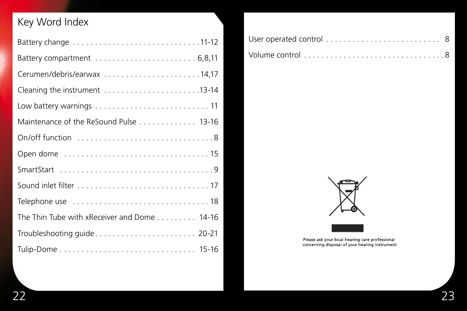# Key Word Index

| Cerumen/debris/earwax 14,17                 |
|---------------------------------------------|
|                                             |
|                                             |
| Maintenance of the ReSound Pulse 13-16      |
|                                             |
|                                             |
|                                             |
|                                             |
|                                             |
| The Thin Tube with xReceiver and Dome 14-16 |
|                                             |
|                                             |



Please ask your local hearing care professional<br>concerning disposal of your hearing instrument